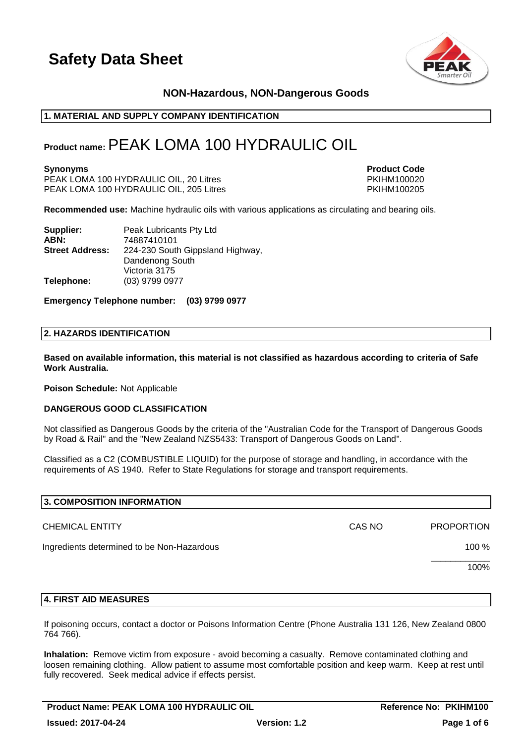

### **NON-Hazardous, NON-Dangerous Goods**

### **1. MATERIAL AND SUPPLY COMPANY IDENTIFICATION**

### **Product name:**PEAK LOMA 100 HYDRAULIC OIL

PEAK LOMA 100 HYDRAULIC OIL, 20 Litres PKIHM100020 PEAK LOMA 100 HYDRAULIC OIL, 205 Litres

**Synonyms Product Code** 

**Recommended use:** Machine hydraulic oils with various applications as circulating and bearing oils.

| Supplier:              | Peak Lubricants Pty Ltd          |
|------------------------|----------------------------------|
| ABN:                   | 74887410101                      |
| <b>Street Address:</b> | 224-230 South Gippsland Highway, |
|                        | Dandenong South                  |
|                        | Victoria 3175                    |
| Telephone:             | (03) 9799 0977                   |

**Emergency Telephone number: (03) 9799 0977**

#### **2. HAZARDS IDENTIFICATION**

**Based on available information, this material is not classified as hazardous according to criteria of Safe Work Australia.**

**Poison Schedule:** Not Applicable

#### **DANGEROUS GOOD CLASSIFICATION**

Not classified as Dangerous Goods by the criteria of the "Australian Code for the Transport of Dangerous Goods by Road & Rail" and the "New Zealand NZS5433: Transport of Dangerous Goods on Land".

Classified as a C2 (COMBUSTIBLE LIQUID) for the purpose of storage and handling, in accordance with the requirements of AS 1940. Refer to State Regulations for storage and transport requirements.

| 3. COMPOSITION INFORMATION                 |        |                   |
|--------------------------------------------|--------|-------------------|
| <b>CHEMICAL ENTITY</b>                     | CAS NO | <b>PROPORTION</b> |
| Ingredients determined to be Non-Hazardous |        | 100 %             |
|                                            |        | 100%              |
|                                            |        |                   |

### **4. FIRST AID MEASURES**

If poisoning occurs, contact a doctor or Poisons Information Centre (Phone Australia 131 126, New Zealand 0800 764 766).

**Inhalation:** Remove victim from exposure - avoid becoming a casualty. Remove contaminated clothing and loosen remaining clothing. Allow patient to assume most comfortable position and keep warm. Keep at rest until fully recovered. Seek medical advice if effects persist.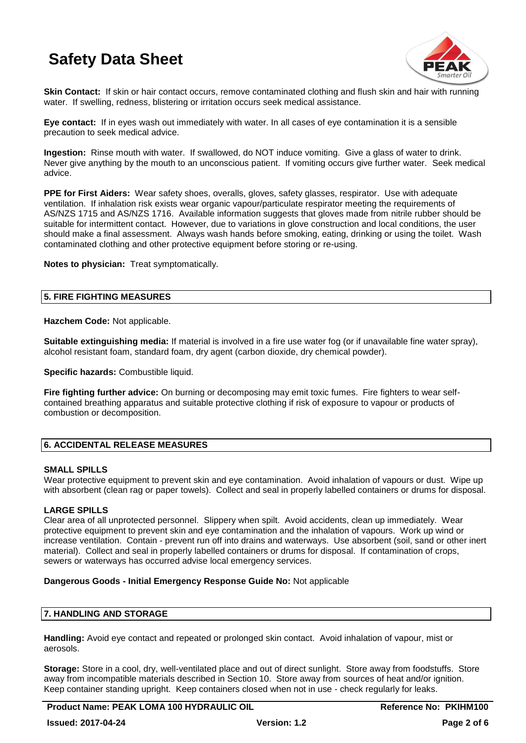

**Skin Contact:** If skin or hair contact occurs, remove contaminated clothing and flush skin and hair with running water. If swelling, redness, blistering or irritation occurs seek medical assistance.

**Eye contact:** If in eyes wash out immediately with water. In all cases of eye contamination it is a sensible precaution to seek medical advice.

**Ingestion:** Rinse mouth with water. If swallowed, do NOT induce vomiting. Give a glass of water to drink. Never give anything by the mouth to an unconscious patient. If vomiting occurs give further water. Seek medical advice.

**PPE for First Aiders:** Wear safety shoes, overalls, gloves, safety glasses, respirator. Use with adequate ventilation. If inhalation risk exists wear organic vapour/particulate respirator meeting the requirements of AS/NZS 1715 and AS/NZS 1716. Available information suggests that gloves made from nitrile rubber should be suitable for intermittent contact. However, due to variations in glove construction and local conditions, the user should make a final assessment. Always wash hands before smoking, eating, drinking or using the toilet. Wash contaminated clothing and other protective equipment before storing or re-using.

**Notes to physician:** Treat symptomatically.

### **5. FIRE FIGHTING MEASURES**

**Hazchem Code:** Not applicable.

**Suitable extinguishing media:** If material is involved in a fire use water fog (or if unavailable fine water spray), alcohol resistant foam, standard foam, dry agent (carbon dioxide, dry chemical powder).

**Specific hazards:** Combustible liquid.

**Fire fighting further advice:** On burning or decomposing may emit toxic fumes. Fire fighters to wear selfcontained breathing apparatus and suitable protective clothing if risk of exposure to vapour or products of combustion or decomposition.

### **6. ACCIDENTAL RELEASE MEASURES**

### **SMALL SPILLS**

Wear protective equipment to prevent skin and eye contamination. Avoid inhalation of vapours or dust. Wipe up with absorbent (clean rag or paper towels). Collect and seal in properly labelled containers or drums for disposal.

### **LARGE SPILLS**

Clear area of all unprotected personnel. Slippery when spilt. Avoid accidents, clean up immediately. Wear protective equipment to prevent skin and eye contamination and the inhalation of vapours. Work up wind or increase ventilation. Contain - prevent run off into drains and waterways. Use absorbent (soil, sand or other inert material). Collect and seal in properly labelled containers or drums for disposal. If contamination of crops, sewers or waterways has occurred advise local emergency services.

### **Dangerous Goods - Initial Emergency Response Guide No:** Not applicable

### **7. HANDLING AND STORAGE**

**Handling:** Avoid eye contact and repeated or prolonged skin contact. Avoid inhalation of vapour, mist or aerosols.

**Storage:** Store in a cool, dry, well-ventilated place and out of direct sunlight. Store away from foodstuffs. Store away from incompatible materials described in Section 10. Store away from sources of heat and/or ignition. Keep container standing upright. Keep containers closed when not in use - check regularly for leaks.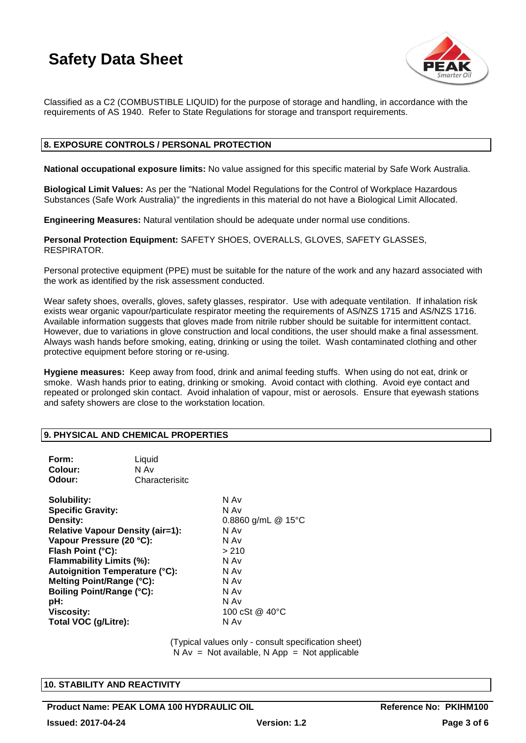

Classified as a C2 (COMBUSTIBLE LIQUID) for the purpose of storage and handling, in accordance with the requirements of AS 1940. Refer to State Regulations for storage and transport requirements.

### **8. EXPOSURE CONTROLS / PERSONAL PROTECTION**

**National occupational exposure limits:** No value assigned for this specific material by Safe Work Australia.

**Biological Limit Values:** As per the "National Model Regulations for the Control of Workplace Hazardous Substances (Safe Work Australia)" the ingredients in this material do not have a Biological Limit Allocated.

**Engineering Measures:** Natural ventilation should be adequate under normal use conditions.

**Personal Protection Equipment:** SAFETY SHOES, OVERALLS, GLOVES, SAFETY GLASSES, RESPIRATOR.

Personal protective equipment (PPE) must be suitable for the nature of the work and any hazard associated with the work as identified by the risk assessment conducted.

Wear safety shoes, overalls, gloves, safety glasses, respirator. Use with adequate ventilation. If inhalation risk exists wear organic vapour/particulate respirator meeting the requirements of AS/NZS 1715 and AS/NZS 1716. Available information suggests that gloves made from nitrile rubber should be suitable for intermittent contact. However, due to variations in glove construction and local conditions, the user should make a final assessment. Always wash hands before smoking, eating, drinking or using the toilet. Wash contaminated clothing and other protective equipment before storing or re-using.

**Hygiene measures:** Keep away from food, drink and animal feeding stuffs. When using do not eat, drink or smoke. Wash hands prior to eating, drinking or smoking. Avoid contact with clothing. Avoid eye contact and repeated or prolonged skin contact. Avoid inhalation of vapour, mist or aerosols. Ensure that eyewash stations and safety showers are close to the workstation location.

### **9. PHYSICAL AND CHEMICAL PROPERTIES**

| Form:<br>Colour:<br>Odour:                                                                                                                                                                                                                                                                                                                | Liquid<br>N Av<br>Characterisitc |                                                                                                                                 |
|-------------------------------------------------------------------------------------------------------------------------------------------------------------------------------------------------------------------------------------------------------------------------------------------------------------------------------------------|----------------------------------|---------------------------------------------------------------------------------------------------------------------------------|
| Solubility:<br><b>Specific Gravity:</b><br>Density:<br><b>Relative Vapour Density (air=1):</b><br>Vapour Pressure (20 °C):<br>Flash Point (°C):<br>Flammability Limits (%):<br><b>Autoignition Temperature (°C):</b><br>Melting Point/Range (°C):<br><b>Boiling Point/Range (°C):</b><br>pH:<br><b>Viscosity:</b><br>Total VOC (g/Litre): |                                  | N Av<br>N Av<br>0.8860 g/mL $@$ 15°C<br>N Av<br>N Av<br>> 210<br>N Av<br>N Av<br>N Av<br>N Av<br>N Av<br>100 cSt @ 40°C<br>N Av |

(Typical values only - consult specification sheet)  $N Av = Not available, N App = Not applicable$ 

### **10. STABILITY AND REACTIVITY**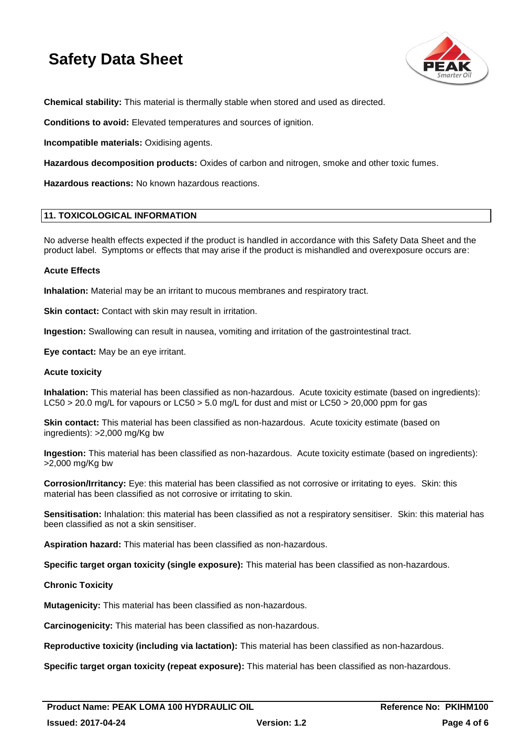

**Chemical stability:** This material is thermally stable when stored and used as directed.

**Conditions to avoid:** Elevated temperatures and sources of ignition.

**Incompatible materials:** Oxidising agents.

**Hazardous decomposition products:** Oxides of carbon and nitrogen, smoke and other toxic fumes.

**Hazardous reactions:** No known hazardous reactions.

### **11. TOXICOLOGICAL INFORMATION**

No adverse health effects expected if the product is handled in accordance with this Safety Data Sheet and the product label. Symptoms or effects that may arise if the product is mishandled and overexposure occurs are:

### **Acute Effects**

**Inhalation:** Material may be an irritant to mucous membranes and respiratory tract.

**Skin contact:** Contact with skin may result in irritation.

**Ingestion:** Swallowing can result in nausea, vomiting and irritation of the gastrointestinal tract.

**Eye contact:** May be an eye irritant.

### **Acute toxicity**

**Inhalation:** This material has been classified as non-hazardous. Acute toxicity estimate (based on ingredients): LC50 > 20.0 mg/L for vapours or LC50 > 5.0 mg/L for dust and mist or LC50 > 20,000 ppm for gas

**Skin contact:** This material has been classified as non-hazardous. Acute toxicity estimate (based on ingredients): >2,000 mg/Kg bw

**Ingestion:** This material has been classified as non-hazardous. Acute toxicity estimate (based on ingredients): >2,000 mg/Kg bw

**Corrosion/Irritancy:** Eye: this material has been classified as not corrosive or irritating to eyes. Skin: this material has been classified as not corrosive or irritating to skin.

**Sensitisation:** Inhalation: this material has been classified as not a respiratory sensitiser. Skin: this material has been classified as not a skin sensitiser.

**Aspiration hazard:** This material has been classified as non-hazardous.

**Specific target organ toxicity (single exposure):** This material has been classified as non-hazardous.

### **Chronic Toxicity**

**Mutagenicity:** This material has been classified as non-hazardous.

**Carcinogenicity:** This material has been classified as non-hazardous.

**Reproductive toxicity (including via lactation):** This material has been classified as non-hazardous.

**Specific target organ toxicity (repeat exposure):** This material has been classified as non-hazardous.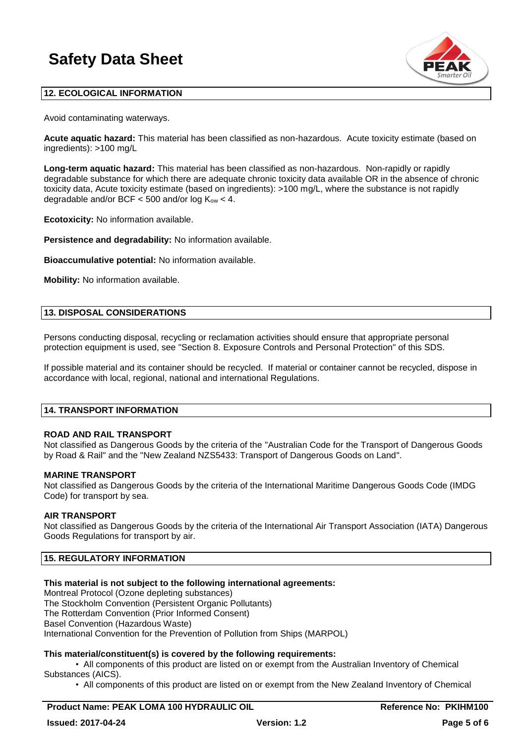

### **12. ECOLOGICAL INFORMATION**

Avoid contaminating waterways.

**Acute aquatic hazard:** This material has been classified as non-hazardous. Acute toxicity estimate (based on ingredients): >100 mg/L

**Long-term aquatic hazard:** This material has been classified as non-hazardous. Non-rapidly or rapidly degradable substance for which there are adequate chronic toxicity data available OR in the absence of chronic toxicity data, Acute toxicity estimate (based on ingredients): >100 mg/L, where the substance is not rapidly degradable and/or BCF  $<$  500 and/or log  $K_{ow}$   $<$  4.

**Ecotoxicity:** No information available.

**Persistence and degradability:** No information available.

**Bioaccumulative potential:** No information available.

**Mobility:** No information available.

### **13. DISPOSAL CONSIDERATIONS**

Persons conducting disposal, recycling or reclamation activities should ensure that appropriate personal protection equipment is used, see "Section 8. Exposure Controls and Personal Protection" of this SDS.

If possible material and its container should be recycled. If material or container cannot be recycled, dispose in accordance with local, regional, national and international Regulations.

### **14. TRANSPORT INFORMATION**

### **ROAD AND RAIL TRANSPORT**

Not classified as Dangerous Goods by the criteria of the "Australian Code for the Transport of Dangerous Goods by Road & Rail" and the "New Zealand NZS5433: Transport of Dangerous Goods on Land".

#### **MARINE TRANSPORT**

Not classified as Dangerous Goods by the criteria of the International Maritime Dangerous Goods Code (IMDG Code) for transport by sea.

### **AIR TRANSPORT**

Not classified as Dangerous Goods by the criteria of the International Air Transport Association (IATA) Dangerous Goods Regulations for transport by air.

### **15. REGULATORY INFORMATION**

### **This material is not subject to the following international agreements:**

Montreal Protocol (Ozone depleting substances) The Stockholm Convention (Persistent Organic Pollutants) The Rotterdam Convention (Prior Informed Consent) Basel Convention (Hazardous Waste) International Convention for the Prevention of Pollution from Ships (MARPOL)

### **This material/constituent(s) is covered by the following requirements:**

• All components of this product are listed on or exempt from the Australian Inventory of Chemical Substances (AICS).

• All components of this product are listed on or exempt from the New Zealand Inventory of Chemical